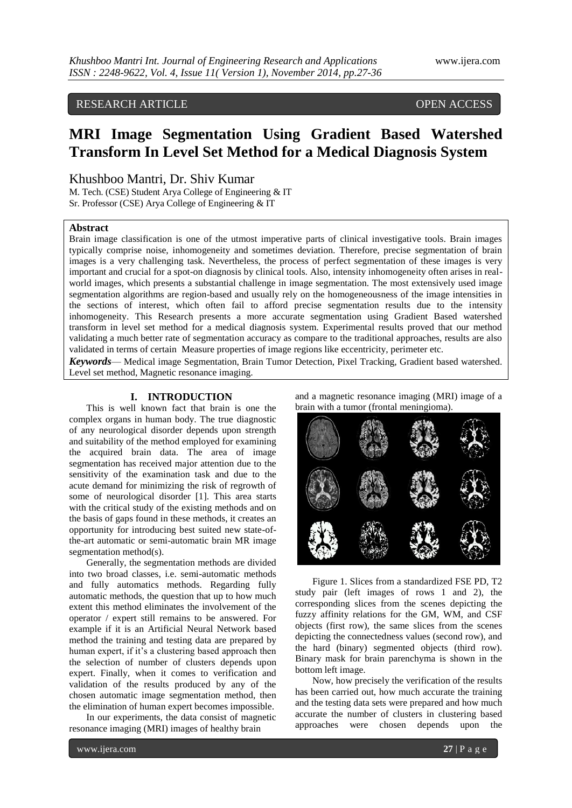# RESEARCH ARTICLE OPEN ACCESS

# **MRI Image Segmentation Using Gradient Based Watershed Transform In Level Set Method for a Medical Diagnosis System**

## Khushboo Mantri, Dr. Shiv Kumar

M. Tech. (CSE) Student Arya College of Engineering & IT Sr. Professor (CSE) Arya College of Engineering & IT

### **Abstract**

Brain image classification is one of the utmost imperative parts of clinical investigative tools. Brain images typically comprise noise, inhomogeneity and sometimes deviation. Therefore, precise segmentation of brain images is a very challenging task. Nevertheless, the process of perfect segmentation of these images is very important and crucial for a spot-on diagnosis by clinical tools. Also, intensity inhomogeneity often arises in realworld images, which presents a substantial challenge in image segmentation. The most extensively used image segmentation algorithms are region-based and usually rely on the homogeneousness of the image intensities in the sections of interest, which often fail to afford precise segmentation results due to the intensity inhomogeneity. This Research presents a more accurate segmentation using Gradient Based watershed transform in level set method for a medical diagnosis system. Experimental results proved that our method validating a much better rate of segmentation accuracy as compare to the traditional approaches, results are also validated in terms of certain Measure properties of image regions like eccentricity, perimeter etc.

*Keywords*— Medical image Segmentation, Brain Tumor Detection, Pixel Tracking, Gradient based watershed. Level set method, Magnetic resonance imaging.

#### **I. INTRODUCTION**

This is well known fact that brain is one the complex organs in human body. The true diagnostic of any neurological disorder depends upon strength and suitability of the method employed for examining the acquired brain data. The area of image segmentation has received major attention due to the sensitivity of the examination task and due to the acute demand for minimizing the risk of regrowth of some of neurological disorder [1]. This area starts with the critical study of the existing methods and on the basis of gaps found in these methods, it creates an opportunity for introducing best suited new state-ofthe-art automatic or semi-automatic brain MR image segmentation method(s).

Generally, the segmentation methods are divided into two broad classes, i.e. semi-automatic methods and fully automatics methods. Regarding fully automatic methods, the question that up to how much extent this method eliminates the involvement of the operator / expert still remains to be answered. For example if it is an Artificial Neural Network based method the training and testing data are prepared by human expert, if it's a clustering based approach then the selection of number of clusters depends upon expert. Finally, when it comes to verification and validation of the results produced by any of the chosen automatic image segmentation method, then the elimination of human expert becomes impossible.

In our experiments, the data consist of magnetic resonance imaging (MRI) images of healthy brain

and a magnetic resonance imaging (MRI) image of a brain with a tumor (frontal meningioma).



Figure 1. Slices from a standardized FSE PD, T2 study pair (left images of rows 1 and 2), the corresponding slices from the scenes depicting the fuzzy affinity relations for the GM, WM, and CSF objects (first row), the same slices from the scenes depicting the connectedness values (second row), and the hard (binary) segmented objects (third row). Binary mask for brain parenchyma is shown in the bottom left image.

Now, how precisely the verification of the results has been carried out, how much accurate the training and the testing data sets were prepared and how much accurate the number of clusters in clustering based approaches were chosen depends upon the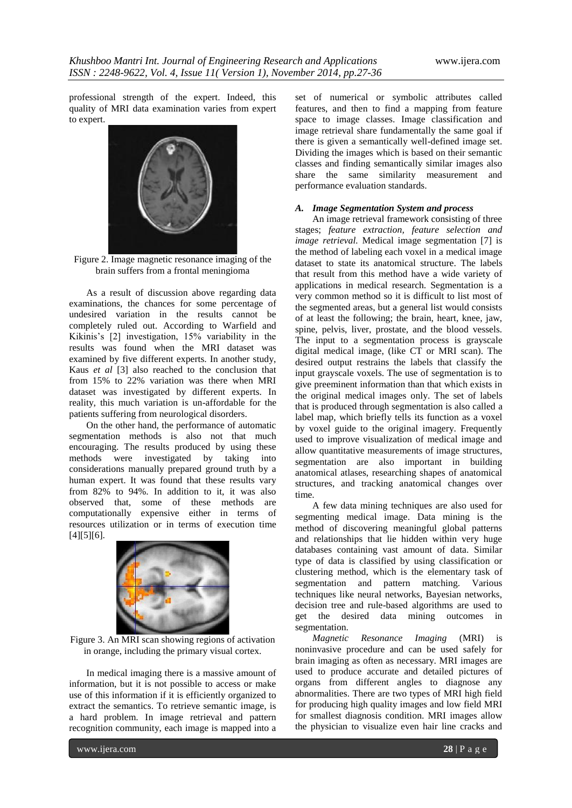professional strength of the expert. Indeed, this quality of MRI data examination varies from expert to expert.



Figure 2. Image magnetic resonance imaging of the brain suffers from a frontal meningioma

As a result of discussion above regarding data examinations, the chances for some percentage of undesired variation in the results cannot be completely ruled out. According to Warfield and Kikinis's [2] investigation, 15% variability in the results was found when the MRI dataset was examined by five different experts. In another study, Kaus *et al* [3] also reached to the conclusion that from 15% to 22% variation was there when MRI dataset was investigated by different experts. In reality, this much variation is un-affordable for the patients suffering from neurological disorders.

On the other hand, the performance of automatic segmentation methods is also not that much encouraging. The results produced by using these methods were investigated by taking into considerations manually prepared ground truth by a human expert. It was found that these results vary from 82% to 94%. In addition to it, it was also observed that, some of these methods are computationally expensive either in terms of resources utilization or in terms of execution time [4][5][6].



Figure 3. An MRI scan showing regions of activation in orange, including the primary visual cortex.

In medical imaging there is a massive amount of information, but it is not possible to access or make use of this information if it is efficiently organized to extract the semantics. To retrieve semantic image, is a hard problem. In image retrieval and pattern recognition community, each image is mapped into a

set of numerical or symbolic attributes called features, and then to find a mapping from feature space to image classes. Image classification and image retrieval share fundamentally the same goal if there is given a semantically well-defined image set. Dividing the images which is based on their semantic classes and finding semantically similar images also share the same similarity measurement and performance evaluation standards.

#### *A. Image Segmentation System and process*

An image retrieval framework consisting of three stages; *feature extraction, feature selection and image retrieval.* Medical image segmentation [7] is the method of labeling each voxel in a medical image dataset to state its anatomical structure. The labels that result from this method have a wide variety of applications in medical research. Segmentation is a very common method so it is difficult to list most of the segmented areas, but a general list would consists of at least the following; the brain, heart, knee, jaw, spine, pelvis, liver, prostate, and the blood vessels. The input to a segmentation process is grayscale digital medical image, (like CT or MRI scan). The desired output restrains the labels that classify the input grayscale voxels. The use of segmentation is to give preeminent information than that which exists in the original medical images only. The set of labels that is produced through segmentation is also called a label map, which briefly tells its function as a voxel by voxel guide to the original imagery. Frequently used to improve visualization of medical image and allow quantitative measurements of image structures, segmentation are also important in building anatomical atlases, researching shapes of anatomical structures, and tracking anatomical changes over time.

A few data mining techniques are also used for segmenting medical image. Data mining is the method of discovering meaningful global patterns and relationships that lie hidden within very huge databases containing vast amount of data. Similar type of data is classified by using classification or clustering method, which is the elementary task of segmentation and pattern matching. Various techniques like neural networks, Bayesian networks, decision tree and rule-based algorithms are used to get the desired data mining outcomes in segmentation.

*Magnetic Resonance Imaging* (MRI) is noninvasive procedure and can be used safely for brain imaging as often as necessary. MRI images are used to produce accurate and detailed pictures of organs from different angles to diagnose any abnormalities. There are two types of MRI high field for producing high quality images and low field MRI for smallest diagnosis condition. MRI images allow the physician to visualize even hair line cracks and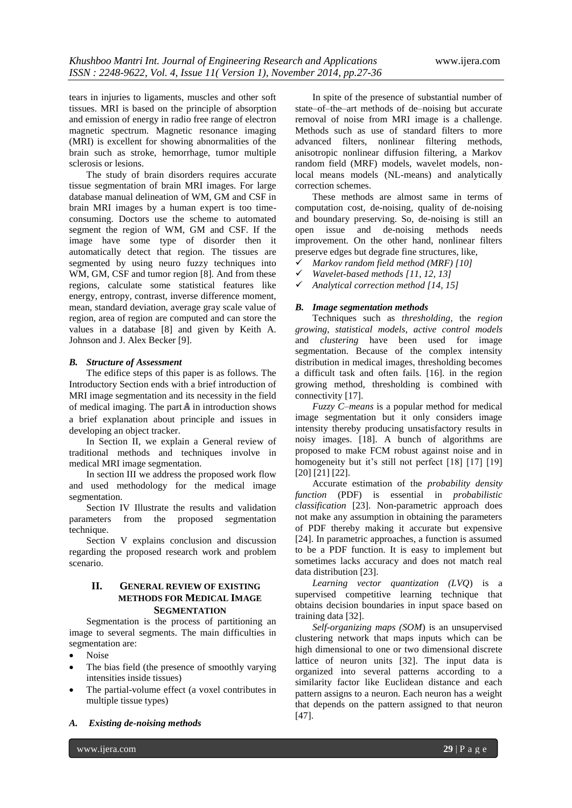tears in injuries to ligaments, muscles and other soft tissues. MRI is based on the principle of absorption and emission of energy in radio free range of electron magnetic spectrum. Magnetic resonance imaging (MRI) is excellent for showing abnormalities of the brain such as stroke, hemorrhage, tumor multiple sclerosis or lesions.

The study of brain disorders requires accurate tissue segmentation of brain MRI images. For large database manual delineation of WM, GM and CSF in brain MRI images by a human expert is too timeconsuming. Doctors use the scheme to automated segment the region of WM, GM and CSF. If the image have some type of disorder then it automatically detect that region. The tissues are segmented by using neuro fuzzy techniques into WM, GM, CSF and tumor region [8]. And from these regions, calculate some statistical features like energy, entropy, contrast, inverse difference moment, mean, standard deviation, average gray scale value of region, area of region are computed and can store the values in a database [8] and given by Keith A. Johnson and J. Alex Becker [9].

#### *B. Structure of Assessment*

The edifice steps of this paper is as follows. The Introductory Section ends with a brief introduction of MRI image segmentation and its necessity in the field of medical imaging. The part  $\bf{A}$  in introduction shows a brief explanation about principle and issues in developing an object tracker.

In Section II, we explain a General review of traditional methods and techniques involve in medical MRI image segmentation.

In section III we address the proposed work flow and used methodology for the medical image segmentation.

Section IV Illustrate the results and validation parameters from the proposed segmentation technique.

Section V explains conclusion and discussion regarding the proposed research work and problem scenario.

#### **II. GENERAL REVIEW OF EXISTING METHODS FOR MEDICAL IMAGE SEGMENTATION**

Segmentation is the process of partitioning an image to several segments. The main difficulties in segmentation are:

- Noise
- The bias field (the presence of smoothly varying intensities inside tissues)
- The partial-volume effect (a voxel contributes in multiple tissue types)

### *A. Existing de-noising methods*

In spite of the presence of substantial number of state–of–the–art methods of de–noising but accurate removal of noise from MRI image is a challenge. Methods such as use of standard filters to more advanced filters, nonlinear filtering methods, anisotropic nonlinear diffusion filtering, a Markov random field (MRF) models, wavelet models, nonlocal means models (NL-means) and analytically correction schemes.

These methods are almost same in terms of computation cost, de-noising, quality of de-noising and boundary preserving. So, de-noising is still an open issue and de-noising methods needs improvement. On the other hand, nonlinear filters preserve edges but degrade fine structures, like,

- *Markov random field method (MRF) [10]*
- *Wavelet-based methods [11, 12, 13]*
- *Analytical correction method [14, 15]*

#### *B. Image segmentation methods*

Techniques such as *thresholding*, the *region growing, statistical models*, *active control models* and *clustering* have been used for image segmentation. Because of the complex intensity distribution in medical images, thresholding becomes a difficult task and often fails. [16]. in the region growing method, thresholding is combined with connectivity [17].

*Fuzzy C–means* is a popular method for medical image segmentation but it only considers image intensity thereby producing unsatisfactory results in noisy images. [18]. A bunch of algorithms are proposed to make FCM robust against noise and in homogeneity but it's still not perfect [18] [17] [19] [20] [21] [22].

Accurate estimation of the *probability density function* (PDF) is essential in *probabilistic classification* [23]. Non-parametric approach does not make any assumption in obtaining the parameters of PDF thereby making it accurate but expensive [24]. In parametric approaches, a function is assumed to be a PDF function. It is easy to implement but sometimes lacks accuracy and does not match real data distribution [23].

*Learning vector quantization (LVQ*) is a supervised competitive learning technique that obtains decision boundaries in input space based on training data [32].

*Self-organizing maps (SOM*) is an unsupervised clustering network that maps inputs which can be high dimensional to one or two dimensional discrete lattice of neuron units [32]. The input data is organized into several patterns according to a similarity factor like Euclidean distance and each pattern assigns to a neuron. Each neuron has a weight that depends on the pattern assigned to that neuron [47].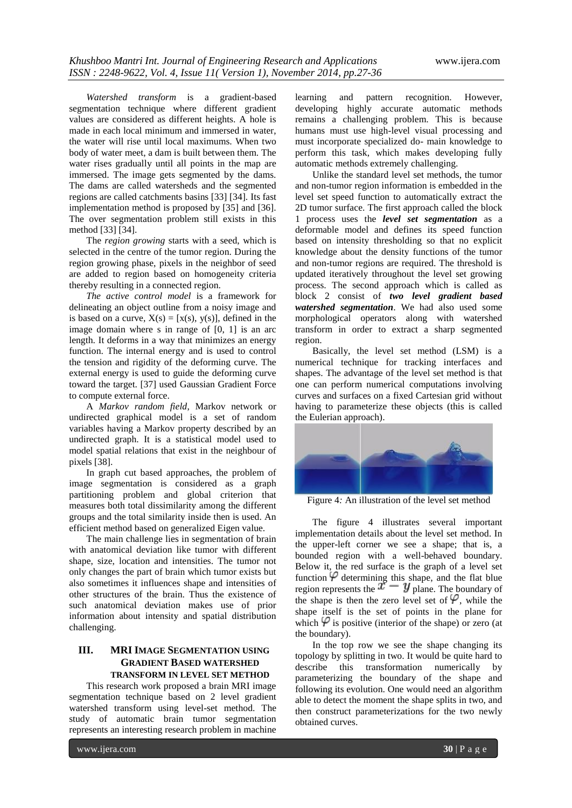*Watershed transform* is a gradient-based segmentation technique where different gradient values are considered as different heights. A hole is made in each local minimum and immersed in water, the water will rise until local maximums. When two body of water meet, a dam is built between them. The water rises gradually until all points in the map are immersed. The image gets segmented by the dams. The dams are called watersheds and the segmented regions are called catchments basins [33] [34]. Its fast implementation method is proposed by [35] and [36]. The over segmentation problem still exists in this method [33] [34].

The *region growing* starts with a seed, which is selected in the centre of the tumor region. During the region growing phase, pixels in the neighbor of seed are added to region based on homogeneity criteria thereby resulting in a connected region.

*The active control model* is a framework for delineating an object outline from a noisy image and is based on a curve,  $X(s) = [x(s), y(s)]$ , defined in the image domain where s in range of [0, 1] is an arc length. It deforms in a way that minimizes an energy function. The internal energy and is used to control the tension and rigidity of the deforming curve. The external energy is used to guide the deforming curve toward the target. [37] used Gaussian Gradient Force to compute external force.

A *Markov random field*, Markov network or undirected graphical model is a set of random variables having a Markov property described by an undirected graph. It is a statistical model used to model spatial relations that exist in the neighbour of pixels [38].

In graph cut based approaches, the problem of image segmentation is considered as a graph partitioning problem and global criterion that measures both total dissimilarity among the different groups and the total similarity inside then is used. An efficient method based on generalized Eigen value.

The main challenge lies in segmentation of brain with anatomical deviation like tumor with different shape, size, location and intensities. The tumor not only changes the part of brain which tumor exists but also sometimes it influences shape and intensities of other structures of the brain. Thus the existence of such anatomical deviation makes use of prior information about intensity and spatial distribution challenging.

#### **III. MRI IMAGE SEGMENTATION USING GRADIENT BASED WATERSHED TRANSFORM IN LEVEL SET METHOD**

This research work proposed a brain MRI image segmentation technique based on 2 level gradient watershed transform using level-set method. The study of automatic brain tumor segmentation represents an interesting research problem in machine

learning and pattern recognition. However, developing highly accurate automatic methods remains a challenging problem. This is because humans must use high-level visual processing and must incorporate specialized do- main knowledge to perform this task, which makes developing fully automatic methods extremely challenging.

Unlike the standard level set methods, the tumor and non-tumor region information is embedded in the level set speed function to automatically extract the 2D tumor surface. The first approach called the block 1 process uses the *level set segmentation* as a deformable model and defines its speed function based on intensity thresholding so that no explicit knowledge about the density functions of the tumor and non-tumor regions are required. The threshold is updated iteratively throughout the level set growing process. The second approach which is called as block 2 consist of *two level gradient based watershed segmentation*. We had also used some morphological operators along with watershed transform in order to extract a sharp segmented region.

Basically, the level set method (LSM) is a numerical technique for tracking interfaces and shapes. The advantage of the level set method is that one can perform numerical computations involving curves and surfaces on a fixed Cartesian grid without having to parameterize these objects (this is called the Eulerian approach).



Figure 4*:* An illustration of the level set method

The figure 4 illustrates several important implementation details about the level set method. In the upper-left corner we see a shape; that is, a bounded region with a well-behaved boundary. Below it, the red surface is the graph of a level set function  $\Psi$  determining this shape, and the flat blue region represents the  $x - y$  plane. The boundary of the shape is then the zero level set of  $\varphi$ , while the shape itself is the set of points in the plane for which  $\varphi$  is positive (interior of the shape) or zero (at the boundary).

In the top row we see the shape changing its topology by splitting in two. It would be quite hard to describe this transformation numerically by parameterizing the boundary of the shape and following its evolution. One would need an algorithm able to detect the moment the shape splits in two, and then construct parameterizations for the two newly obtained curves.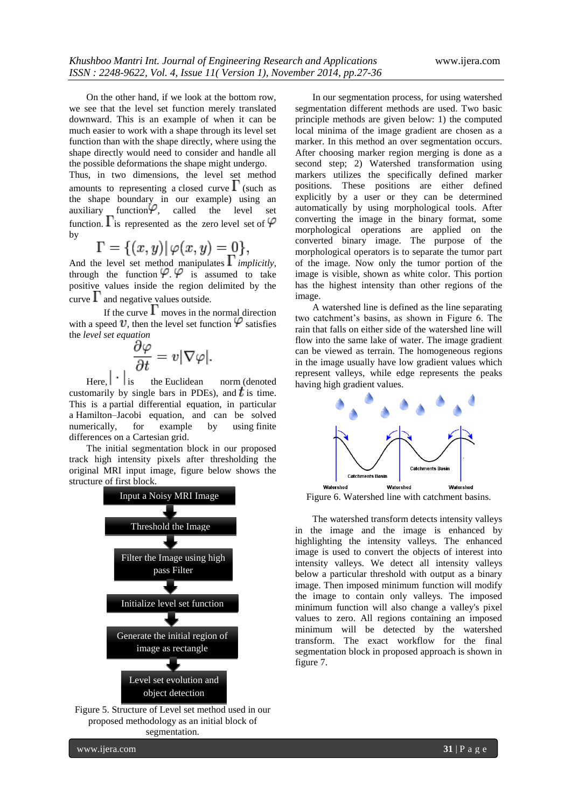On the other hand, if we look at the bottom row, we see that the level set function merely translated downward. This is an example of when it can be much easier to work with a shape through its level set function than with the shape directly, where using the shape directly would need to consider and handle all the possible deformations the shape might undergo.

Thus, in two dimensions, the level set method amounts to representing a closed curve  $\Gamma$  (such as the shape boundary in our example) using an auxiliary function  $\psi$ , called the level set function.  $\Gamma$  is represented as the zero level set of  $\varphi$ by

$$
\Gamma = \{(x, y) | \varphi(x, y) = 0\}
$$

And the level set method manipulates  $\Gamma$  *implicitly*, through the function  $\varphi$ .  $\varphi$  is assumed to take positive values inside the region delimited by the curve  $\Gamma$  and negative values outside.

If the curve  $\Gamma$  moves in the normal direction with a speed U, then the level set function  $\varphi$  satisfies the *level set equation*

$$
\frac{\partial \varphi}{\partial t} = v|\nabla \varphi|.
$$

Here,  $\left| \cdot \right|$  is the Euclidean norm (denoted customarily by single bars in PDEs), and  $\dot{t}$  is time. This is a partial differential equation, in particular a Hamilton–Jacobi equation, and can be solved numerically, for example by using finite differences on a Cartesian grid.

The initial segmentation block in our proposed track high intensity pixels after thresholding the original MRI input image, figure below shows the structure of first block.



Figure 5. Structure of Level set method used in our proposed methodology as an initial block of segmentation.

In our segmentation process, for using watershed segmentation different methods are used. Two basic principle methods are given below: 1) the computed local minima of the image gradient are chosen as a marker. In this method an over segmentation occurs. After choosing marker region merging is done as a second step; 2) Watershed transformation using markers utilizes the specifically defined marker positions. These positions are either defined explicitly by a user or they can be determined automatically by using morphological tools. After converting the image in the binary format, some morphological operations are applied on the converted binary image. The purpose of the morphological operators is to separate the tumor part of the image. Now only the tumor portion of the image is visible, shown as white color. This portion has the highest intensity than other regions of the image.

A watershed line is defined as the line separating two catchment's basins, as shown in Figure 6. The rain that falls on either side of the watershed line will flow into the same lake of water. The image gradient can be viewed as terrain. The homogeneous regions in the image usually have low gradient values which represent valleys, while edge represents the peaks having high gradient values.



Figure 6. Watershed line with catchment basins.

The watershed transform detects intensity valleys in the image and the image is enhanced by highlighting the intensity valleys. The enhanced image is used to convert the objects of interest into intensity valleys. We detect all intensity valleys below a particular threshold with output as a binary image. Then imposed minimum function will modify the image to contain only valleys. The imposed minimum function will also change a valley's pixel values to zero. All regions containing an imposed minimum will be detected by the watershed transform. The exact workflow for the final segmentation block in proposed approach is shown in figure 7.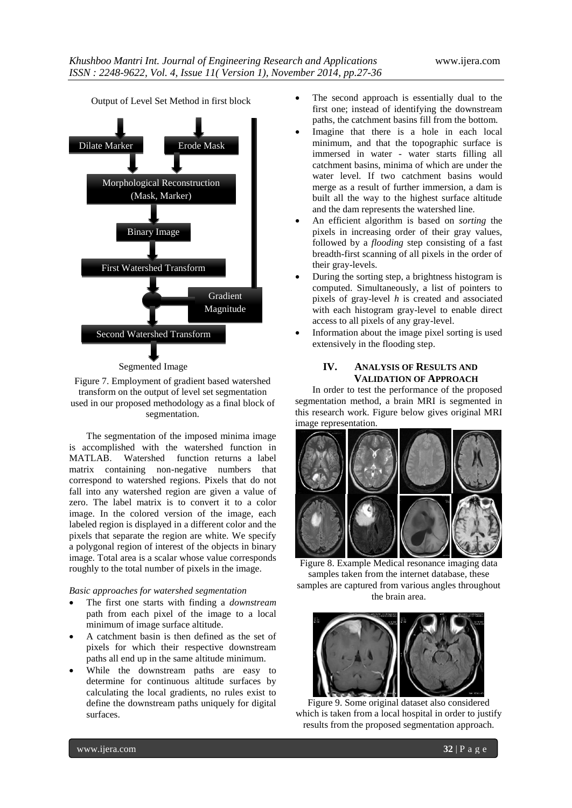

Output of Level Set Method in first block

Segmented Image

Figure 7. Employment of gradient based watershed transform on the output of level set segmentation used in our proposed methodology as a final block of segmentation.

The segmentation of the imposed minima image is accomplished with the watershed function in MATLAB. Watershed function returns a label Watershed function returns a label matrix containing non-negative numbers that correspond to watershed regions. Pixels that do not fall into any watershed region are given a value of zero. The label matrix is to convert it to a color image. In the colored version of the image, each labeled region is displayed in a different color and the pixels that separate the region are white. We specify a polygonal region of interest of the objects in binary image. Total area is a scalar whose value corresponds roughly to the total number of pixels in the image.

#### *Basic approaches for watershed segmentation*

- The first one starts with finding a *downstream* path from each pixel of the image to a local minimum of image surface altitude.
- A catchment basin is then defined as the set of pixels for which their respective downstream paths all end up in the same altitude minimum.
- While the downstream paths are easy to determine for continuous altitude surfaces by calculating the local gradients, no rules exist to define the downstream paths uniquely for digital surfaces.
- The second approach is essentially dual to the first one; instead of identifying the downstream paths, the catchment basins fill from the bottom.
- Imagine that there is a hole in each local minimum, and that the topographic surface is immersed in water - water starts filling all catchment basins, minima of which are under the water level. If two catchment basins would merge as a result of further immersion, a dam is built all the way to the highest surface altitude and the dam represents the watershed line.
- An efficient algorithm is based on *sorting* the pixels in increasing order of their gray values, followed by a *flooding* step consisting of a fast breadth-first scanning of all pixels in the order of their gray-levels.
- During the sorting step, a brightness histogram is computed. Simultaneously, a list of pointers to pixels of gray-level *h* is created and associated with each histogram gray-level to enable direct access to all pixels of any gray-level.
- Information about the image pixel sorting is used extensively in the flooding step.

#### **IV. ANALYSIS OF RESULTS AND VALIDATION OF APPROACH**

In order to test the performance of the proposed segmentation method, a brain MRI is segmented in this research work. Figure below gives original MRI image representation.



Figure 8. Example Medical resonance imaging data samples taken from the internet database, these samples are captured from various angles throughout the brain area.



Figure 9. Some original dataset also considered which is taken from a local hospital in order to justify results from the proposed segmentation approach.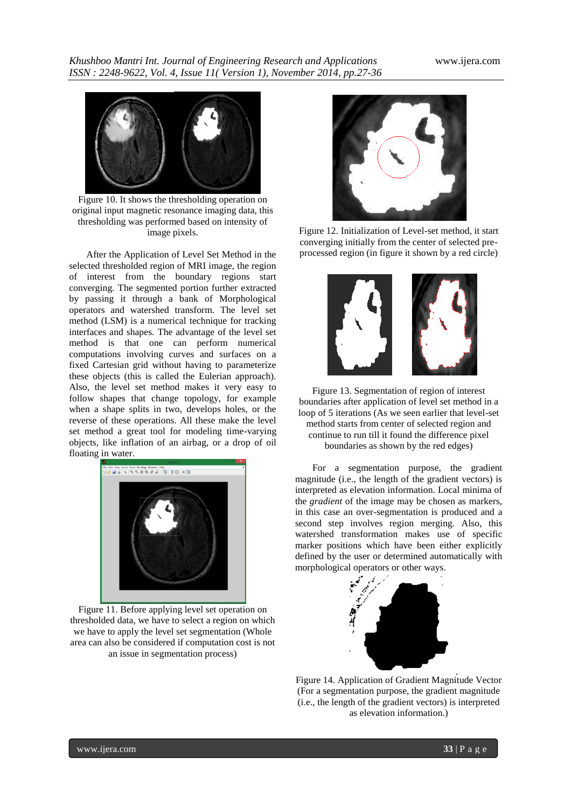

Figure 10. It shows the thresholding operation on original input magnetic resonance imaging data, this thresholding was performed based on intensity of image pixels.

After the Application of Level Set Method in the selected thresholded region of MRI image, the region of interest from the boundary regions start converging. The segmented portion further extracted by passing it through a bank of Morphological operators and watershed transform. The level set method (LSM) is a numerical technique for tracking interfaces and shapes. The advantage of the level set method is that one can perform numerical computations involving curves and surfaces on a fixed Cartesian grid without having to parameterize these objects (this is called the Eulerian approach). Also, the level set method makes it very easy to follow shapes that change topology, for example when a shape splits in two, develops holes, or the reverse of these operations. All these make the level set method a great tool for modeling time-varying objects, like inflation of an airbag, or a drop of oil floating in water.



Figure 11. Before applying level set operation on thresholded data, we have to select a region on which we have to apply the level set segmentation (Whole area can also be considered if computation cost is not an issue in segmentation process)



Figure 12. Initialization of Level-set method, it start converging initially from the center of selected preprocessed region (in figure it shown by a red circle)



Figure 13. Segmentation of region of interest boundaries after application of level set method in a loop of 5 iterations (As we seen earlier that level-set method starts from center of selected region and continue to run till it found the difference pixel boundaries as shown by the red edges)

For a segmentation purpose, the gradient magnitude (i.e., the length of the gradient vectors) is interpreted as elevation information. Local minima of the *gradient* of the image may be chosen as markers, in this case an over-segmentation is produced and a second step involves region merging. Also, this watershed transformation makes use of specific marker positions which have been either explicitly defined by the user or determined automatically with morphological operators or other ways.



Figure 14. Application of Gradient Magnitude Vector (For a segmentation purpose, the gradient magnitude (i.e., the length of the gradient vectors) is interpreted as elevation information.)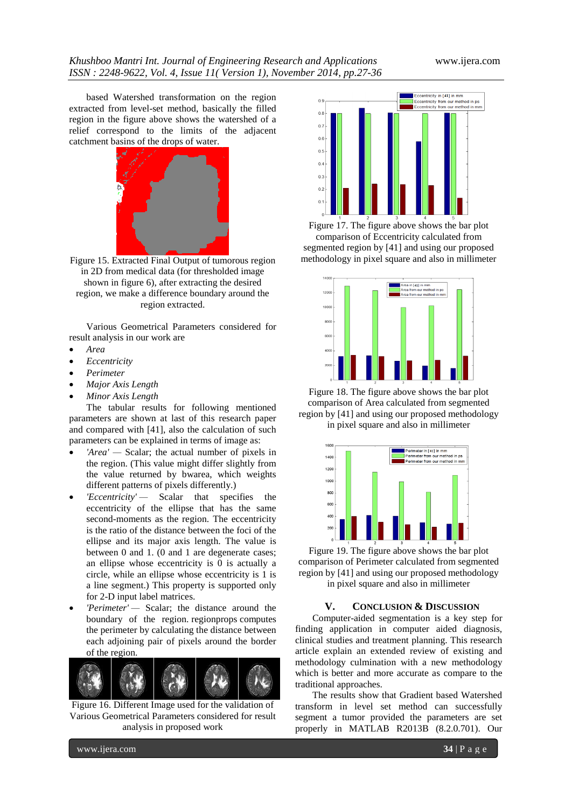based Watershed transformation on the region extracted from level-set method, basically the filled region in the figure above shows the watershed of a relief correspond to the limits of the adjacent catchment basins of the drops of water.



Figure 15. Extracted Final Output of tumorous region in 2D from medical data (for thresholded image shown in figure 6), after extracting the desired region, we make a difference boundary around the region extracted.

Various Geometrical Parameters considered for result analysis in our work are

- *Area*
- *Eccentricity*
- *Perimeter*
- *Major Axis Length*
- *Minor Axis Length*

The tabular results for following mentioned parameters are shown at last of this research paper and compared with [41], also the calculation of such parameters can be explained in terms of image as:

- *'Area' —* Scalar; the actual number of pixels in the region. (This value might differ slightly from the value returned by bwarea, which weights different patterns of pixels differently.)
- *'Eccentricity' —* Scalar that specifies the eccentricity of the ellipse that has the same second-moments as the region. The eccentricity is the ratio of the distance between the foci of the ellipse and its major axis length. The value is between 0 and 1. (0 and 1 are degenerate cases; an ellipse whose eccentricity is 0 is actually a circle, while an ellipse whose eccentricity is 1 is a line segment.) This property is supported only for 2-D input label matrices.
- *'Perimeter' —* Scalar; the distance around the boundary of the region. regionprops computes the perimeter by calculating the distance between each adjoining pair of pixels around the border of the region.



Figure 16. Different Image used for the validation of Various Geometrical Parameters considered for result analysis in proposed work



Figure 17. The figure above shows the bar plot comparison of Eccentricity calculated from segmented region by [41] and using our proposed methodology in pixel square and also in millimeter



Figure 18. The figure above shows the bar plot comparison of Area calculated from segmented region by [41] and using our proposed methodology in pixel square and also in millimeter



Figure 19. The figure above shows the bar plot comparison of Perimeter calculated from segmented region by [41] and using our proposed methodology in pixel square and also in millimeter

#### **V. CONCLUSION & DISCUSSION**

Computer-aided segmentation is a key step for finding application in computer aided diagnosis, clinical studies and treatment planning. This research article explain an extended review of existing and methodology culmination with a new methodology which is better and more accurate as compare to the traditional approaches.

The results show that Gradient based Watershed transform in level set method can successfully segment a tumor provided the parameters are set properly in MATLAB R2013B (8.2.0.701). Our

www.ijera.com **34** | P a g e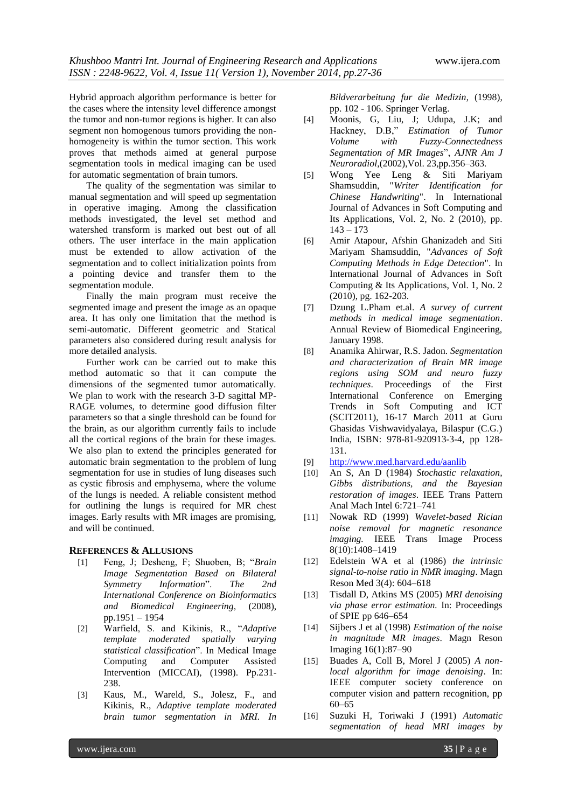Hybrid approach algorithm performance is better for the cases where the intensity level difference amongst the tumor and non-tumor regions is higher. It can also segment non homogenous tumors providing the nonhomogeneity is within the tumor section. This work proves that methods aimed at general purpose segmentation tools in medical imaging can be used for automatic segmentation of brain tumors.

The quality of the segmentation was similar to manual segmentation and will speed up segmentation in operative imaging. Among the classification methods investigated, the level set method and watershed transform is marked out best out of all others. The user interface in the main application must be extended to allow activation of the segmentation and to collect initialization points from a pointing device and transfer them to the segmentation module.

Finally the main program must receive the segmented image and present the image as an opaque area. It has only one limitation that the method is semi-automatic. Different geometric and Statical parameters also considered during result analysis for more detailed analysis.

Further work can be carried out to make this method automatic so that it can compute the dimensions of the segmented tumor automatically. We plan to work with the research 3-D sagittal MP-RAGE volumes, to determine good diffusion filter parameters so that a single threshold can be found for the brain, as our algorithm currently fails to include all the cortical regions of the brain for these images. We also plan to extend the principles generated for automatic brain segmentation to the problem of lung segmentation for use in studies of lung diseases such as cystic fibrosis and emphysema, where the volume of the lungs is needed. A reliable consistent method for outlining the lungs is required for MR chest images. Early results with MR images are promising, and will be continued.

#### **REFERENCES & ALLUSIONS**

- [1] Feng, J; Desheng, F; Shuoben, B; ―*Brain Image Segmentation Based on Bilateral Symmetry Information*‖. *The 2nd International Conference on Bioinformatics and Biomedical Engineering,* (2008), pp.1951 – 1954
- [2] Warfield, S. and Kikinis, R., "Adaptive *template moderated spatially varying statistical classification*‖. In Medical Image Computing and Computer Assisted Intervention (MICCAI), (1998). Pp.231- 238.
- [3] Kaus, M., Wareld, S., Jolesz, F., and Kikinis, R., *Adaptive template moderated brain tumor segmentation in MRI. In*

*Bildverarbeitung fur die Medizin*, (1998), pp. 102 - 106. Springer Verlag*.*

- [4] Moonis, G, Liu, J; Udupa, J.K; and Hackney, D.B," *Estimation of Tumor Volume with Fuzzy-Connectedness Segmentation of MR Images*‖, *AJNR Am J Neuroradiol*,(2002),Vol. 23,pp.356–363*.*
- [5] Wong Yee Leng & Siti Mariyam Shamsuddin, "*Writer Identification for Chinese Handwriting*". In International Journal of Advances in Soft Computing and Its Applications, Vol. 2, No. 2 (2010), pp. 143 – 173
- [6] Amir Atapour, Afshin Ghanizadeh and Siti Mariyam Shamsuddin, "*Advances of Soft Computing Methods in Edge Detection*". In International Journal of Advances in Soft Computing & Its Applications, Vol. 1, No. 2 (2010), pg. 162-203.
- [7] Dzung L.Pham et.al. *A survey of current methods in medical image segmentation*. Annual Review of Biomedical Engineering, January 1998.
- [8] Anamika Ahirwar, R.S. Jadon. *Segmentation and characterization of Brain MR image regions using SOM and neuro fuzzy techniques*. Proceedings of the First International Conference on Emerging Trends in Soft Computing and ICT (SCIT2011), 16-17 March 2011 at Guru Ghasidas Vishwavidyalaya, Bilaspur (C.G.) India, ISBN: 978-81-920913-3-4, pp 128- 131.
- [9] <http://www.med.harvard.edu/aanlib>
- [10] An S, An D (1984) *Stochastic relaxation, Gibbs distributions, and the Bayesian restoration of images*. IEEE Trans Pattern Anal Mach Intel 6:721–741
- [11] Nowak RD (1999) *Wavelet-based Rician noise removal for magnetic resonance imaging.* IEEE Trans Image Process 8(10):1408–1419
- [12] Edelstein WA et al (1986) *the intrinsic signal-to-noise ratio in NMR imaging*. Magn Reson Med 3(4): 604–618
- [13] Tisdall D, Atkins MS (2005) *MRI denoising via phase error estimation.* In: Proceedings of SPIE pp 646–654
- [14] Sijbers J et al (1998) *Estimation of the noise in magnitude MR images*. Magn Reson Imaging 16(1):87–90
- [15] Buades A, Coll B, Morel J (2005) *A nonlocal algorithm for image denoising*. In: IEEE computer society conference on computer vision and pattern recognition, pp 60–65
- [16] Suzuki H, Toriwaki J (1991) *Automatic segmentation of head MRI images by*